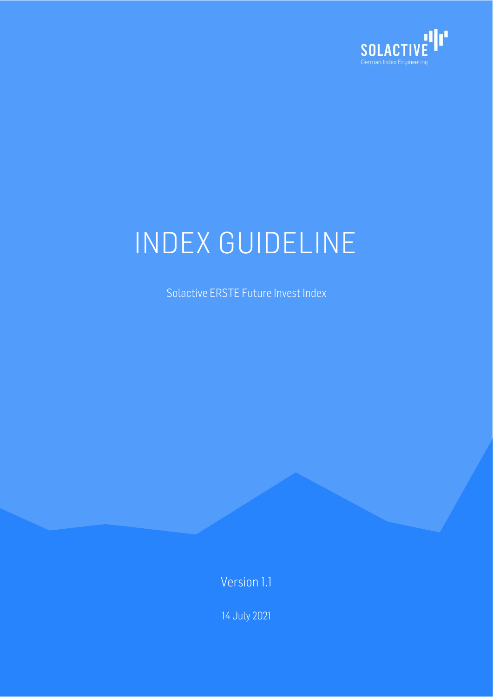

Solactive ERSTE Future Invest Index

Version 1.1

14 July 2021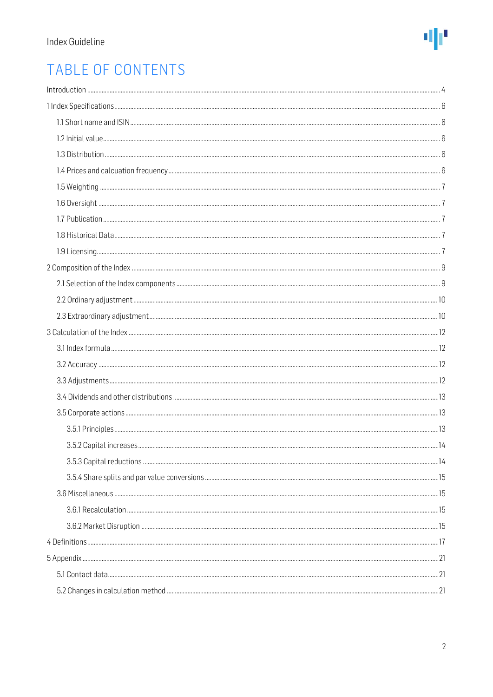

# TABLE OF CONTENTS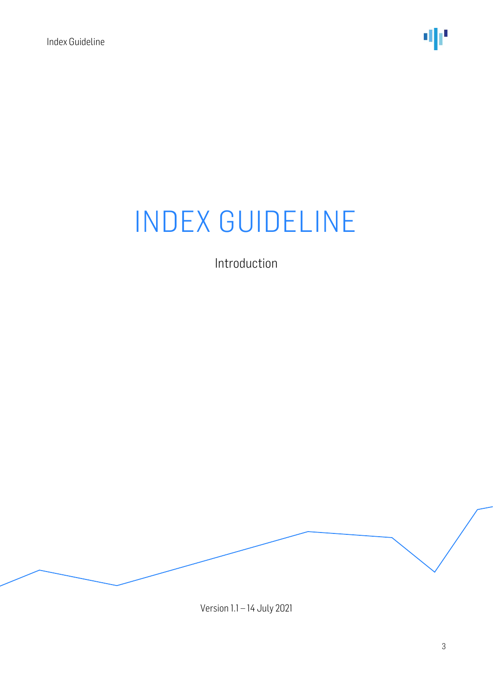Introduction

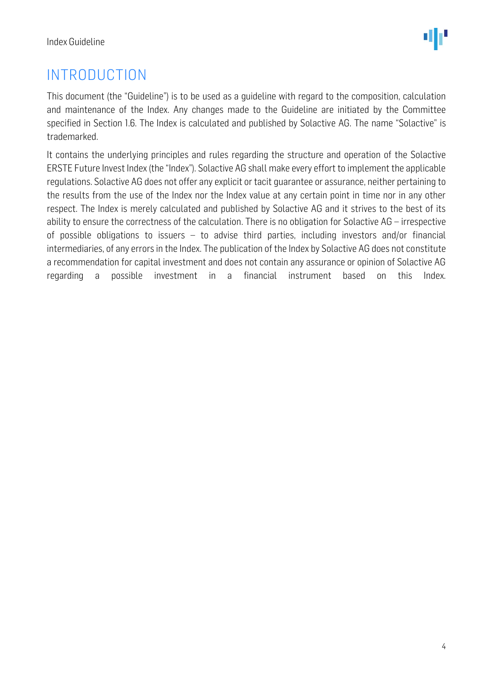## <span id="page-3-0"></span>INTRODUCTION

This document (the "Guideline") is to be used as a guideline with regard to the composition, calculation and maintenance of the Index. Any changes made to the Guideline are initiated by the Committee specified in Section 1.6. The Index is calculated and published by Solactive AG. The name "Solactive" is trademarked.

It contains the underlying principles and rules regarding the structure and operation of the Solactive ERSTE Future Invest Index(the "Index"). Solactive AG shall make every effort to implement the applicable regulations. Solactive AG does not offer any explicit or tacit guarantee or assurance, neither pertaining to the results from the use of the Index nor the Index value at any certain point in time nor in any other respect. The Index is merely calculated and published by Solactive AG and it strives to the best of its ability to ensure the correctness of the calculation. There is no obligation for Solactive AG – irrespective of possible obligations to issuers – to advise third parties, including investors and/or financial intermediaries, of any errors in the Index. The publication of the Index by Solactive AG does not constitute a recommendation for capital investment and does not contain any assurance or opinion of Solactive AG regarding a possible investment in a financial instrument based on this Index.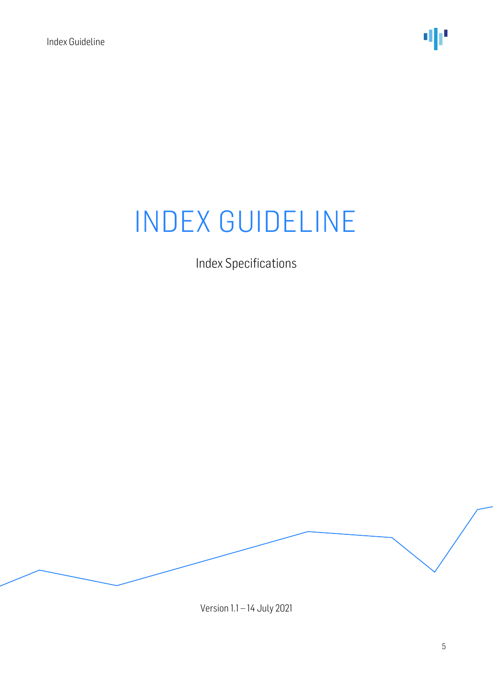Index Specifications

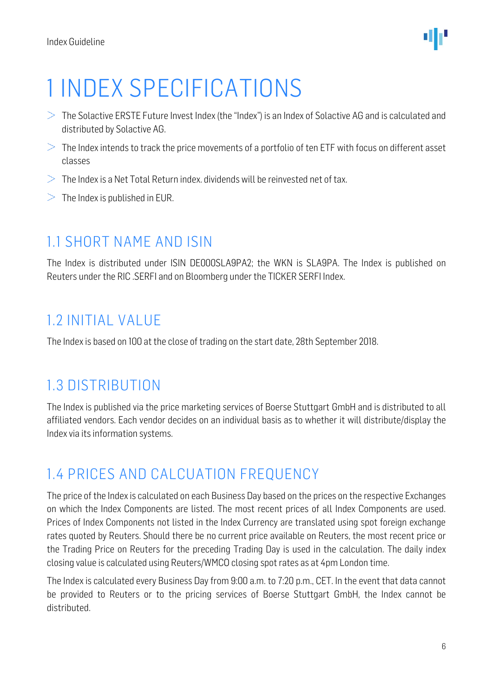# <span id="page-5-0"></span>1 INDEX SPECIFICATIONS

- $>$  The Solactive ERSTE Future Invest Index (the "Index") is an Index of Solactive AG and is calculated and distributed by Solactive AG.
- $>$  The Index intends to track the price movements of a portfolio of ten ETF with focus on different asset classes
- $>$  The Index is a Net Total Return index. dividends will be reinvested net of tax.
- <span id="page-5-1"></span> $>$  The Index is published in EUR.

### 1.1 SHORT NAME AND ISIN

The Index is distributed under ISIN DE000SLA9PA2; the WKN is SLA9PA. The Index is published on Reuters under the RIC .SERFI and on Bloomberg under the TICKER SERFI Index.

### <span id="page-5-2"></span>1.2 INITIAL VALUE

<span id="page-5-3"></span>The Index is based on 100 at the close of trading on the start date, 28th September 2018.

### 1.3 DISTRIBUTION

The Index is published via the price marketing services of Boerse Stuttgart GmbH and is distributed to all affiliated vendors. Each vendor decides on an individual basis as to whether it will distribute/display the Index via its information systems.

## <span id="page-5-4"></span>1.4 PRICES AND CALCUATION FREQUENCY

The price of the Index is calculated on each Business Day based on the prices on the respective Exchanges on which the Index Components are listed. The most recent prices of all Index Components are used. Prices of Index Components not listed in the Index Currency are translated using spot foreign exchange rates quoted by Reuters. Should there be no current price available on Reuters, the most recent price or the Trading Price on Reuters for the preceding Trading Day is used in the calculation. The daily index closing value is calculated using Reuters/WMCO closing spot rates as at 4pm London time.

The Index is calculated every Business Day from 9:00 a.m. to 7:20 p.m., CET. In the event that data cannot be provided to Reuters or to the pricing services of Boerse Stuttgart GmbH, the Index cannot be distributed.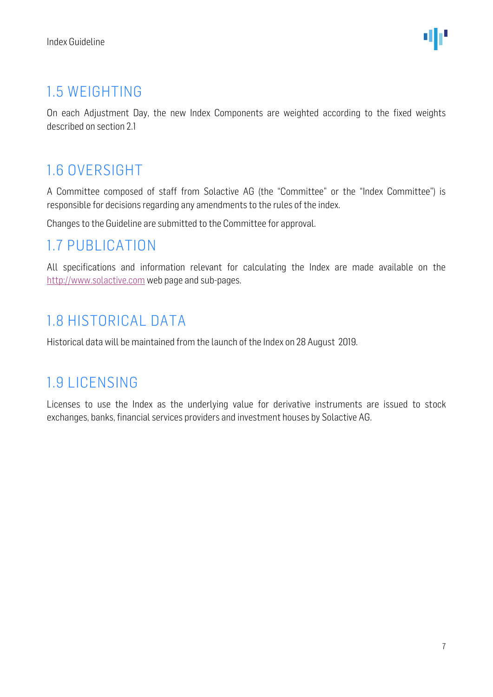## <span id="page-6-0"></span>1.5 WEIGHTING

On each Adjustment Day, the new Index Components are weighted according to the fixed weights described on section 2.1

## <span id="page-6-1"></span>1.6 OVERSIGHT

A Committee composed of staff from Solactive AG (the "Committee" or the "Index Committee") is responsible for decisions regarding any amendments to the rules of the index.

Changes to the Guideline are submitted to the Committee for approval.

### <span id="page-6-2"></span>1.7 PUBLICATION

All specifications and information relevant for calculating the Index are made available on the [http://www.solactive.com](http://www.solactive.com/) web page and sub-pages.

### <span id="page-6-3"></span>1.8 HISTORICAL DATA

Historical data will be maintained from the launch of the Index on 28 August 2019.

### <span id="page-6-4"></span>1.9 LICENSING

Licenses to use the Index as the underlying value for derivative instruments are issued to stock exchanges, banks, financial services providers and investment houses by Solactive AG.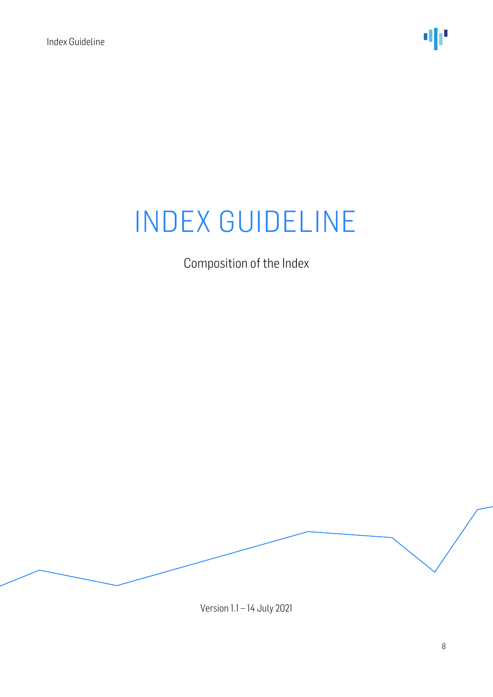Composition of the Index

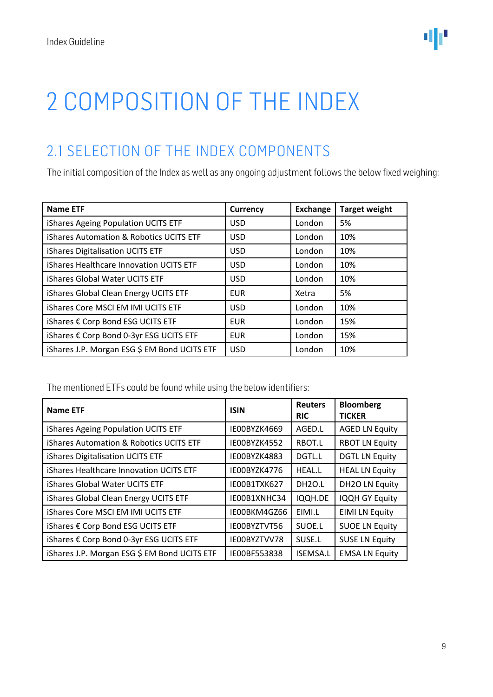# <span id="page-8-0"></span>2 COMPOSITION OF THE INDEX

## <span id="page-8-1"></span>2.1 SELECTION OF THE INDEX COMPONENTS

The initial composition of the Index as well as any ongoing adjustment follows the below fixed weighing:

| <b>Name ETF</b>                                    | <b>Currency</b> | <b>Exchange</b> | <b>Target weight</b> |
|----------------------------------------------------|-----------------|-----------------|----------------------|
| iShares Ageing Population UCITS ETF                | <b>USD</b>      | London          | 5%                   |
| <b>iShares Automation &amp; Robotics UCITS ETF</b> | <b>USD</b>      | London          | 10%                  |
| iShares Digitalisation UCITS ETF                   | <b>USD</b>      | London          | 10%                  |
| iShares Healthcare Innovation UCITS ETF            | <b>USD</b>      | London          | 10%                  |
| iShares Global Water UCITS ETF                     | <b>USD</b>      | London          | 10%                  |
| iShares Global Clean Energy UCITS ETF              | <b>EUR</b>      | Xetra           | 5%                   |
| iShares Core MSCI EM IMI UCITS ETF                 | <b>USD</b>      | London          | 10%                  |
| iShares € Corp Bond ESG UCITS ETF                  | <b>EUR</b>      | London          | 15%                  |
| iShares € Corp Bond 0-3yr ESG UCITS ETF            | <b>EUR</b>      | London          | 15%                  |
| iShares J.P. Morgan ESG \$ EM Bond UCITS ETF       | <b>USD</b>      | London          | 10%                  |

The mentioned ETFs could be found while using the below identifiers:

| <b>Name ETF</b>                              | <b>ISIN</b>  | <b>Reuters</b><br><b>RIC</b> | <b>Bloomberg</b><br><b>TICKER</b> |
|----------------------------------------------|--------------|------------------------------|-----------------------------------|
| iShares Ageing Population UCITS ETF          | IE00BYZK4669 | AGED.L                       | <b>AGED LN Equity</b>             |
| iShares Automation & Robotics UCITS ETF      | IE00BYZK4552 | RBOT.L                       | <b>RBOT LN Equity</b>             |
| iShares Digitalisation UCITS ETF             | IE00BYZK4883 | DGTL.L                       | <b>DGTL LN Equity</b>             |
| iShares Healthcare Innovation UCITS ETF      | IE00BYZK4776 | HEAL.L                       | <b>HEAL LN Equity</b>             |
| iShares Global Water UCITS ETF               | IE00B1TXK627 | DH <sub>20.L</sub>           | <b>DH2O LN Equity</b>             |
| iShares Global Clean Energy UCITS ETF        | IE00B1XNHC34 | IQQH.DE                      | IQQH GY Equity                    |
| iShares Core MSCI EM IMI UCITS ETF           | IE00BKM4GZ66 | EIMI.L                       | <b>EIMI LN Equity</b>             |
| iShares € Corp Bond ESG UCITS ETF            | IE00BYZTVT56 | SUOE.L                       | <b>SUOE LN Equity</b>             |
| iShares € Corp Bond 0-3yr ESG UCITS ETF      | IE00BYZTVV78 | SUSE.L                       | <b>SUSE LN Equity</b>             |
| iShares J.P. Morgan ESG \$ EM Bond UCITS ETF | IE00BF553838 | <b>ISEMSA.L</b>              | <b>EMSA LN Equity</b>             |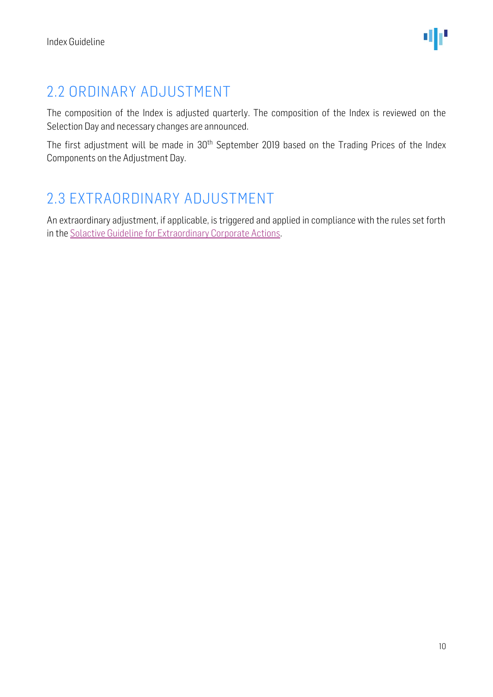# <span id="page-9-0"></span>2.2 ORDINARY ADJUSTMENT

The composition of the Index is adjusted quarterly. The composition of the Index is reviewed on the Selection Day and necessary changes are announced.

The first adjustment will be made in 30<sup>th</sup> September 2019 based on the Trading Prices of the Index Components on the Adjustment Day.

## <span id="page-9-1"></span>2.3 EXTRAORDINARY ADJUSTMENT

An extraordinary adjustment, if applicable, is triggered and applied in compliance with the rules set forth in th[e Solactive Guideline for Extraordinary Corporate Actions.](http://www.solactive.com/news/documents/)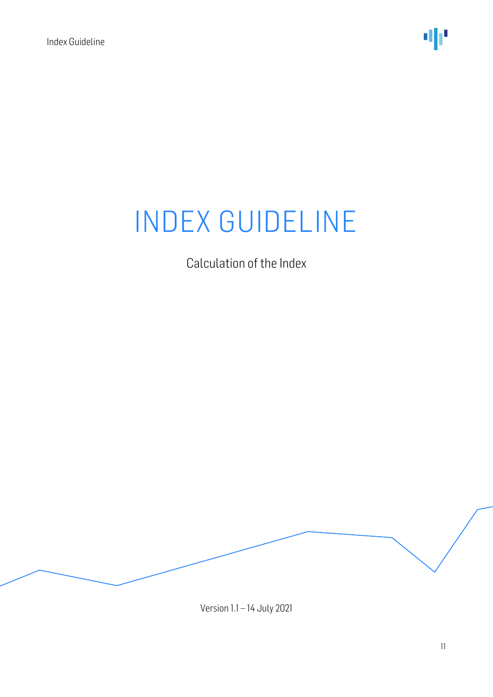Calculation of the Index

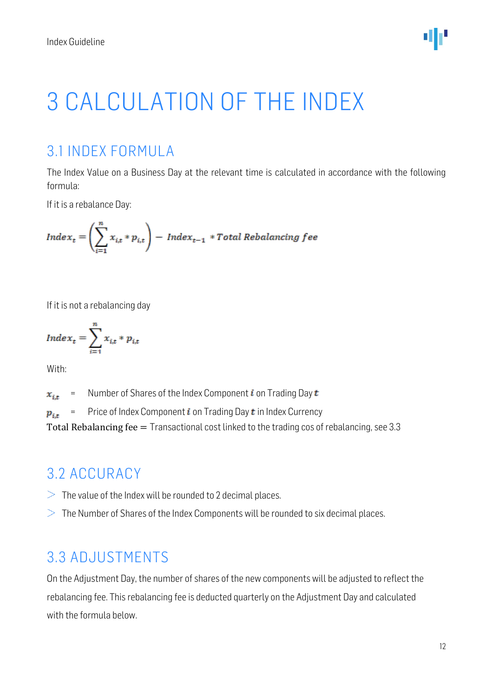

# <span id="page-11-0"></span>3 CALCULATION OF THE INDEX

### <span id="page-11-1"></span>3.1 INDEX FORMULA

The Index Value on a Business Day at the relevant time is calculated in accordance with the following formula:

If it is a rebalance Day:

$$
Index_t = \left(\sum_{i=1}^n x_{i,t} * p_{i,t}\right) - Index_{t-1} * Total Rebalancing fee
$$

If it is not a rebalancing day

$$
Index_t = \sum_{i=1}^{n} x_{i,t} * p_{i,t}
$$

With:

= Number of Shares of the Index Component i on Trading Day  $t$  $x_{i,t}$ 

= Price of Index Component  $i$  on Trading Day  $t$  in Index Currency  $p_{i,t}$ 

<span id="page-11-2"></span>Total Rebalancing fee = Transactional cost linked to the trading cos of rebalancing, see 3.3

### 3.2 ACCURACY

- $>$  The value of the Index will be rounded to 2 decimal places.
- <span id="page-11-3"></span> $>$  The Number of Shares of the Index Components will be rounded to six decimal places.

### 3.3 ADJUSTMENTS

On the Adjustment Day, the number of shares of the new components will be adjusted to reflect the rebalancing fee. This rebalancing fee is deducted quarterly on the Adjustment Day and calculated with the formula below.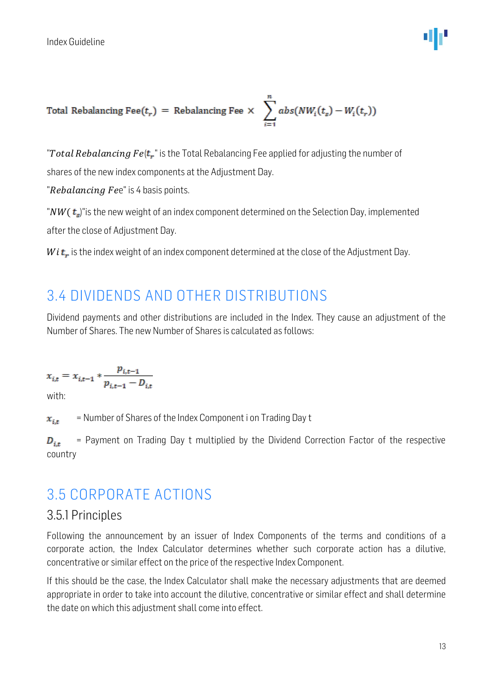Total Rebalancing 
$$
Free(t_r)
$$
 = Rebalancing  $Free \times \sum_{i=1}^{n} abs(NW_i(t_s) - W_i(t_r))$ 

"Total Rebalancing  $Fe(t,$ " is the Total Rebalancing Fee applied for adjusting the number of shares of the new index components at the Adjustment Day.

"Rebalancing Fee" is 4 basis points.

" $NW(t_s)$ " is the new weight of an index component determined on the Selection Day, implemented after the close of Adjustment Day.

<span id="page-12-0"></span> $Wi$ **t**, is the index weight of an index component determined at the close of the Adjustment Day.

### 3.4 DIVIDENDS AND OTHER DISTRIBUTIONS

Dividend payments and other distributions are included in the Index. They cause an adjustment of the Number of Shares. The new Number of Shares is calculated as follows:

$$
x_{i,t} = x_{i,t-1} * \frac{p_{i,t-1}}{p_{i,t-1} - D_{i,t}}
$$

with:

= Number of Shares of the Index Component i on Trading Day t  $x_{i,t}$ 

= Payment on Trading Day t multiplied by the Dividend Correction Factor of the respective  $D_{i,t}$ country

### <span id="page-12-1"></span>3.5 CORPORATE ACTIONS

#### <span id="page-12-2"></span>3.5.1 Principles

Following the announcement by an issuer of Index Components of the terms and conditions of a corporate action, the Index Calculator determines whether such corporate action has a dilutive, concentrative or similar effect on the price of the respective Index Component.

If this should be the case, the Index Calculator shall make the necessary adjustments that are deemed appropriate in order to take into account the dilutive, concentrative or similar effect and shall determine the date on which this adjustment shall come into effect.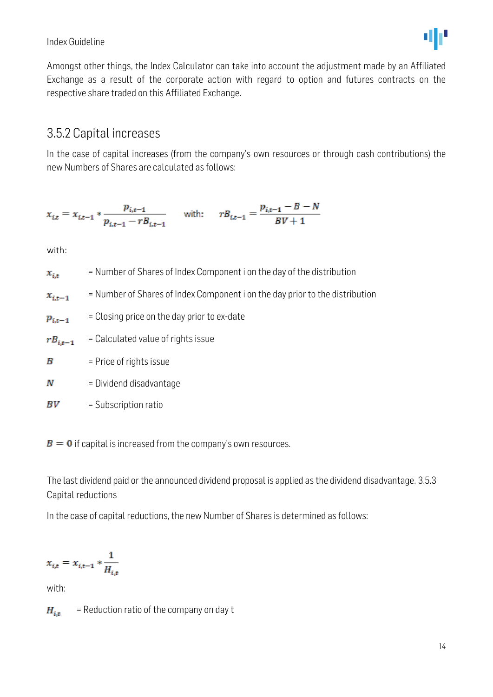#### Index Guideline

Amongst other things, the Index Calculator can take into account the adjustment made by an Affiliated Exchange as a result of the corporate action with regard to option and futures contracts on the respective share traded on this Affiliated Exchange.

#### <span id="page-13-0"></span>3.5.2 Capital increases

In the case of capital increases (from the company's own resources or through cash contributions) the new Numbers of Shares are calculated as follows:

$$
x_{i,t} = x_{i,t-1} * \frac{p_{i,t-1}}{p_{i,t-1} - rB_{i,t-1}} \quad \text{with:} \quad rB_{i,t-1} = \frac{p_{i,t-1} - B - N}{BV + 1}
$$

with:

= Number of Shares of Index Component i on the day of the distribution  $x_{i,t}$ 

= Number of Shares of Index Component i on the day prior to the distribution  $x_{i,t-1}$ 

= Closing price on the day prior to ex-date  $p_{i,t-1}$ 

 $rB_{i,t-1}$ = Calculated value of rights issue

- B = Price of rights issue
- N = Dividend disadvantage

 $BV$ = Subscription ratio

 $B = 0$  if capital is increased from the company's own resources.

<span id="page-13-1"></span>The last dividend paid or the announced dividend proposal is applied as the dividend disadvantage. 3.5.3 Capital reductions

In the case of capital reductions, the new Number of Shares is determined as follows:

$$
x_{i,t}=x_{i,t-1}*\frac{1}{H_{i,t}}
$$

with:

 $H_{i\star}$ = Reduction ratio of the company on day t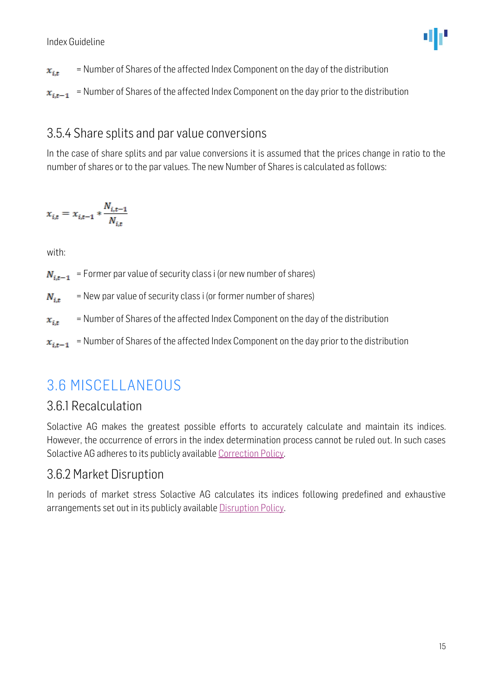- = Number of Shares of the affected Index Component on the day of the distribution  $x_{i,t}$
- $x_{i,t-1}$  = Number of Shares of the affected Index Component on the day prior to the distribution

#### <span id="page-14-0"></span>3.5.4 Share splits and par value conversions

In the case of share splits and par value conversions it is assumed that the prices change in ratio to the number of shares or to the par values. The new Number of Shares is calculated as follows:

$$
x_{i,t} = x_{i,t-1} * \frac{N_{i,t-1}}{N_{i,t}}
$$

with:

 $N_{i,t-1}$  = Former par value of security class i (or new number of shares)

= New par value of security class i (or former number of shares)  $N_{i,t}$ 

- = Number of Shares of the affected Index Component on the day of the distribution  $x_{i,t}$
- <span id="page-14-1"></span>= Number of Shares of the affected Index Component on the day prior to the distribution  $x_{i,t-1}$

### 3.6 MISCELLANEOUS

#### <span id="page-14-2"></span>3.6.1 Recalculation

Solactive AG makes the greatest possible efforts to accurately calculate and maintain its indices. However, the occurrence of errors in the index determination process cannot be ruled out. In such cases Solactive AG adheres to its publicly availabl[e Correction Policy.](http://www.solactive.com/news/documents/)

#### <span id="page-14-3"></span>3.6.2 Market Disruption

In periods of market stress Solactive AG calculates its indices following predefined and exhaustive arrangements set out in its publicly available [Disruption Policy.](http://www.solactive.com/news/documents/)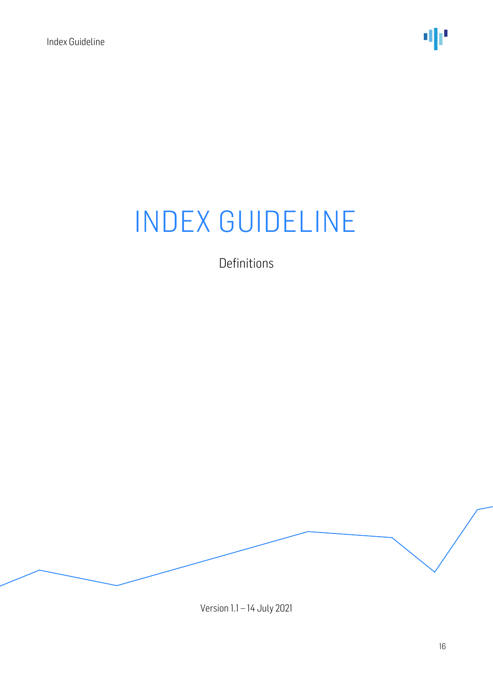Definitions

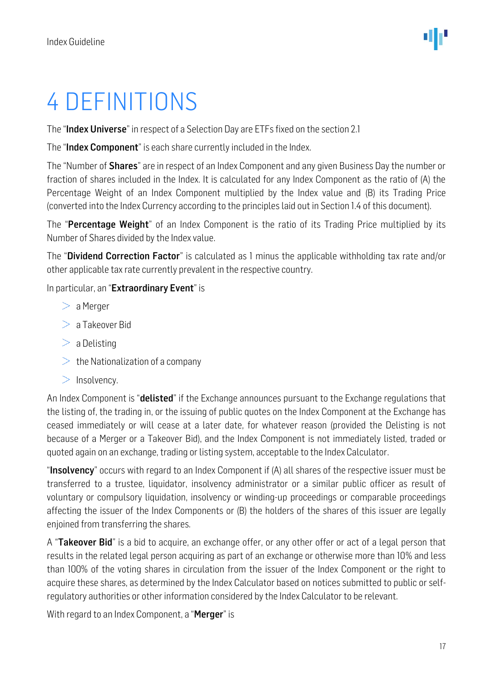# <span id="page-16-0"></span>4 DEFINITIONS

The "Index Universe" in respect of a Selection Day are ETFs fixed on the section 2.1

The "Index Component" is each share currently included in the Index.

The "Number of **Shares**" are in respect of an Index Component and any given Business Day the number or fraction of shares included in the Index. It is calculated for any Index Component as the ratio of (A) the Percentage Weight of an Index Component multiplied by the Index value and (B) its Trading Price (converted into the Index Currency according to the principles laid out in Section 1.4 of this document).

The "Percentage Weight" of an Index Component is the ratio of its Trading Price multiplied by its Number of Shares divided by the Index value.

The "Dividend Correction Factor" is calculated as 1 minus the applicable withholding tax rate and/or other applicable tax rate currently prevalent in the respective country.

In particular, an "Extraordinary Event" is

- $> a$  Merger
- $> a$  Takeover Bid
- $> a$  Delisting
- $\geq$  the Nationalization of a company
- $>$  Insolvency.

An Index Component is "**delisted**" if the Exchange announces pursuant to the Exchange regulations that the listing of, the trading in, or the issuing of public quotes on the Index Component at the Exchange has ceased immediately or will cease at a later date, for whatever reason (provided the Delisting is not because of a Merger or a Takeover Bid), and the Index Component is not immediately listed, traded or quoted again on an exchange, trading or listing system, acceptable to the Index Calculator.

"Insolvency" occurs with regard to an Index Component if (A) all shares of the respective issuer must be transferred to a trustee, liquidator, insolvency administrator or a similar public officer as result of voluntary or compulsory liquidation, insolvency or winding-up proceedings or comparable proceedings affecting the issuer of the Index Components or (B) the holders of the shares of this issuer are legally enjoined from transferring the shares.

A "Takeover Bid" is a bid to acquire, an exchange offer, or any other offer or act of a legal person that results in the related legal person acquiring as part of an exchange or otherwise more than 10% and less than 100% of the voting shares in circulation from the issuer of the Index Component or the right to acquire these shares, as determined by the Index Calculator based on notices submitted to public or selfregulatory authorities or other information considered by the Index Calculator to be relevant.

With regard to an Index Component, a "Merger" is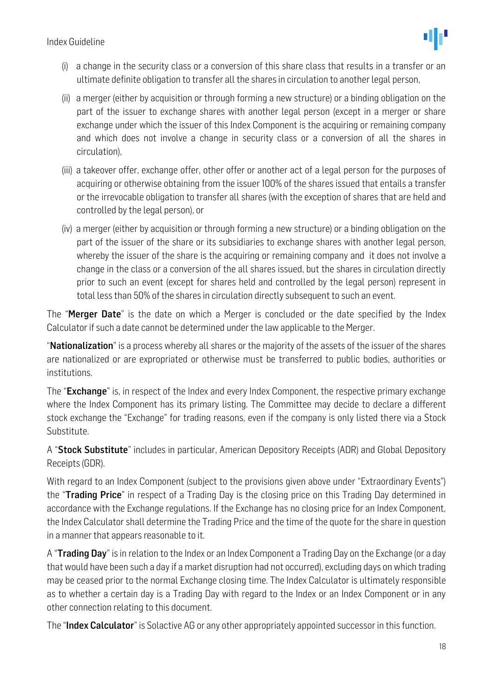- (i) a change in the security class or a conversion of this share class that results in a transfer or an ultimate definite obligation to transfer all the shares in circulation to another legal person,
- (ii) a merger (either by acquisition or through forming a new structure) or a binding obligation on the part of the issuer to exchange shares with another legal person (except in a merger or share exchange under which the issuer of this Index Component is the acquiring or remaining company and which does not involve a change in security class or a conversion of all the shares in circulation),
- (iii) a takeover offer, exchange offer, other offer or another act of a legal person for the purposes of acquiring or otherwise obtaining from the issuer 100% of the shares issued that entails a transfer or the irrevocable obligation to transfer all shares (with the exception of shares that are held and controlled by the legal person), or
- (iv) a merger (either by acquisition or through forming a new structure) or a binding obligation on the part of the issuer of the share or its subsidiaries to exchange shares with another legal person, whereby the issuer of the share is the acquiring or remaining company and it does not involve a change in the class or a conversion of the all shares issued, but the shares in circulation directly prior to such an event (except for shares held and controlled by the legal person) represent in total less than 50% of the shares in circulation directly subsequent to such an event.

The "Merger Date" is the date on which a Merger is concluded or the date specified by the Index Calculator if such a date cannot be determined under the law applicable to the Merger.

"Nationalization" is a process whereby all shares or the majority of the assets of the issuer of the shares are nationalized or are expropriated or otherwise must be transferred to public bodies, authorities or institutions.

The "Exchange" is, in respect of the Index and every Index Component, the respective primary exchange where the Index Component has its primary listing. The Committee may decide to declare a different stock exchange the "Exchange" for trading reasons, even if the company is only listed there via a Stock Substitute.

A "**Stock Substitute**" includes in particular, American Depository Receipts (ADR) and Global Depository Receipts (GDR).

With regard to an Index Component (subject to the provisions given above under "Extraordinary Events") the "Trading Price" in respect of a Trading Day is the closing price on this Trading Day determined in accordance with the Exchange regulations. If the Exchange has no closing price for an Index Component, the Index Calculator shall determine the Trading Price and the time of the quote for the share in question in a manner that appears reasonable to it.

A "**Trading Day**" is in relation to the Index or an Index Component a Trading Day on the Exchange (or a day that would have been such a day if a market disruption had not occurred), excluding days on which trading may be ceased prior to the normal Exchange closing time. The Index Calculator is ultimately responsible as to whether a certain day is a Trading Day with regard to the Index or an Index Component or in any other connection relating to this document.

The "Index Calculator" is Solactive AG or any other appropriately appointed successor in this function.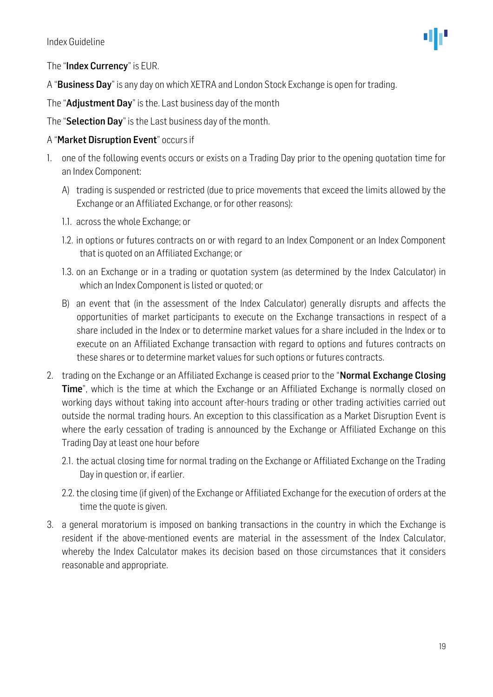#### The "Index Currency" is EUR.

A "Business Day" is any day on which XETRA and London Stock Exchange is open for trading.

The "Adjustment Day" is the. Last business day of the month

The "Selection Day" is the Last business day of the month.

#### A "Market Disruption Event" occurs if

- 1. one of the following events occurs or exists on a Trading Day prior to the opening quotation time for an Index Component:
	- A) trading is suspended or restricted (due to price movements that exceed the limits allowed by the Exchange or an Affiliated Exchange, or for other reasons):
	- 1.1. across the whole Exchange; or
	- 1.2. in options or futures contracts on or with regard to an Index Component or an Index Component that is quoted on an Affiliated Exchange; or
	- 1.3. on an Exchange or in a trading or quotation system (as determined by the Index Calculator) in which an Index Component is listed or quoted; or
	- B) an event that (in the assessment of the Index Calculator) generally disrupts and affects the opportunities of market participants to execute on the Exchange transactions in respect of a share included in the Index or to determine market values for a share included in the Index or to execute on an Affiliated Exchange transaction with regard to options and futures contracts on these shares or to determine market values for such options or futures contracts.
- 2. trading on the Exchange or an Affiliated Exchange is ceased prior to the "**Normal Exchange Closing Time**", which is the time at which the Exchange or an Affiliated Exchange is normally closed on working days without taking into account after-hours trading or other trading activities carried out outside the normal trading hours. An exception to this classification as a Market Disruption Event is where the early cessation of trading is announced by the Exchange or Affiliated Exchange on this Trading Day at least one hour before
	- 2.1. the actual closing time for normal trading on the Exchange or Affiliated Exchange on the Trading Day in question or, if earlier.
	- 2.2. the closing time (if given) of the Exchange or Affiliated Exchange for the execution of orders at the time the quote is given.
- 3. a general moratorium is imposed on banking transactions in the country in which the Exchange is resident if the above-mentioned events are material in the assessment of the Index Calculator, whereby the Index Calculator makes its decision based on those circumstances that it considers reasonable and appropriate.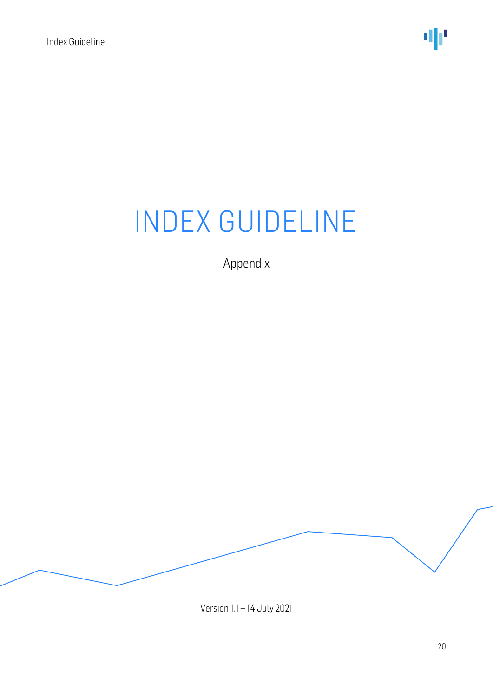Appendix